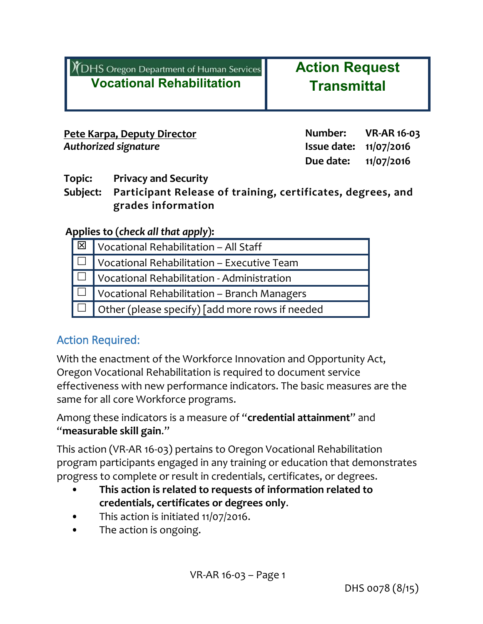| Y DHS Oregon Department of Human Services |                                  |  |
|-------------------------------------------|----------------------------------|--|
|                                           | <b>Vocational Rehabilitation</b> |  |

**Action Request Transmittal**

| <u> Pete Karpa, Deputy Director</u> | Number:                         | <b>VR-AR 16-03</b> |
|-------------------------------------|---------------------------------|--------------------|
| Authorized signature                | <b>Issue date:</b> $11/07/2016$ |                    |
|                                     | Due date: $11/07/2016$          |                    |

**Topic: Privacy and Security**

**Subject: Participant Release of training, certificates, degrees, and grades information**

**Applies to (***check all that apply***):**

| $\sqrt{\mathbb{E} \cdot \mathbb{E} \cdot \mathbb{E} \cdot \mathbb{E} \cdot \mathbb{E} \cdot \mathbb{E} \cdot \mathbb{E} \cdot \mathbb{E} \cdot \mathbb{E} \cdot \mathbb{E} \cdot \mathbb{E} \cdot \mathbb{E} \cdot \mathbb{E} \cdot \mathbb{E} \cdot \mathbb{E} \cdot \mathbb{E} \cdot \mathbb{E} \cdot \mathbb{E} \cdot \mathbb{E} \cdot \mathbb{E} \cdot \mathbb{E} \cdot \mathbb{E} \cdot \mathbb{E} \cdot \mathbb{E} \cdot \mathbb{E} \cdot \mathbb{E} \cdot \mathbb{E} \cdot \math$ |  |  |
|------------------------------------------------------------------------------------------------------------------------------------------------------------------------------------------------------------------------------------------------------------------------------------------------------------------------------------------------------------------------------------------------------------------------------------------------------------------------------------------|--|--|
| $\Box$ Vocational Rehabilitation – Executive Team                                                                                                                                                                                                                                                                                                                                                                                                                                        |  |  |
| $\Box$ Vocational Rehabilitation - Administration                                                                                                                                                                                                                                                                                                                                                                                                                                        |  |  |
| $\Box$ Vocational Rehabilitation – Branch Managers                                                                                                                                                                                                                                                                                                                                                                                                                                       |  |  |
| $\Box$ Other (please specify) [add more rows if needed                                                                                                                                                                                                                                                                                                                                                                                                                                   |  |  |

### Action Required:

With the enactment of the Workforce Innovation and Opportunity Act, Oregon Vocational Rehabilitation is required to document service effectiveness with new performance indicators. The basic measures are the same for all core Workforce programs.

Among these indicators is a measure of "**credential attainment**" and "**measurable skill gain**."

This action (VR-AR 16-03) pertains to Oregon Vocational Rehabilitation program participants engaged in any training or education that demonstrates progress to complete or result in credentials, certificates, or degrees.

- **This action is related to requests of information related to credentials, certificates or degrees only**.
- This action is initiated 11/07/2016.
- The action is ongoing.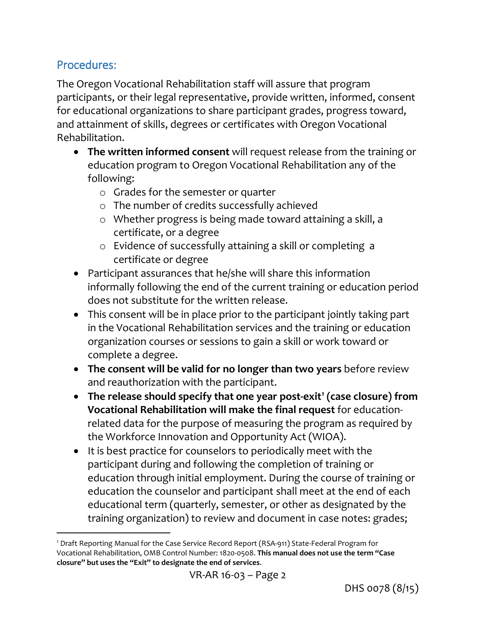### Procedures:

 $\overline{a}$ 

The Oregon Vocational Rehabilitation staff will assure that program participants, or their legal representative, provide written, informed, consent for educational organizations to share participant grades, progress toward, and attainment of skills, degrees or certificates with Oregon Vocational Rehabilitation.

- **The written informed consent** will request release from the training or education program to Oregon Vocational Rehabilitation any of the following:
	- o Grades for the semester or quarter
	- o The number of credits successfully achieved
	- o Whether progress is being made toward attaining a skill, a certificate, or a degree
	- o Evidence of successfully attaining a skill or completing a certificate or degree
- Participant assurances that he/she will share this information informally following the end of the current training or education period does not substitute for the written release.
- This consent will be in place prior to the participant jointly taking part in the Vocational Rehabilitation services and the training or education organization courses or sessions to gain a skill or work toward or complete a degree.
- **The consent will be valid for no longer than two years** before review and reauthorization with the participant.
- **The release should specify that one year post-exit[1](#page-1-0) (case closure) from Vocational Rehabilitation will make the final request** for educationrelated data for the purpose of measuring the program as required by the Workforce Innovation and Opportunity Act (WIOA).
- It is best practice for counselors to periodically meet with the participant during and following the completion of training or education through initial employment. During the course of training or education the counselor and participant shall meet at the end of each educational term (quarterly, semester, or other as designated by the training organization) to review and document in case notes: grades;

<span id="page-1-0"></span><sup>1</sup> Draft Reporting Manual for the Case Service Record Report (RSA-911) State-Federal Program for Vocational Rehabilitation, OMB Control Number: 1820-0508. **This manual does not use the term "Case closure" but uses the "Exit" to designate the end of services**.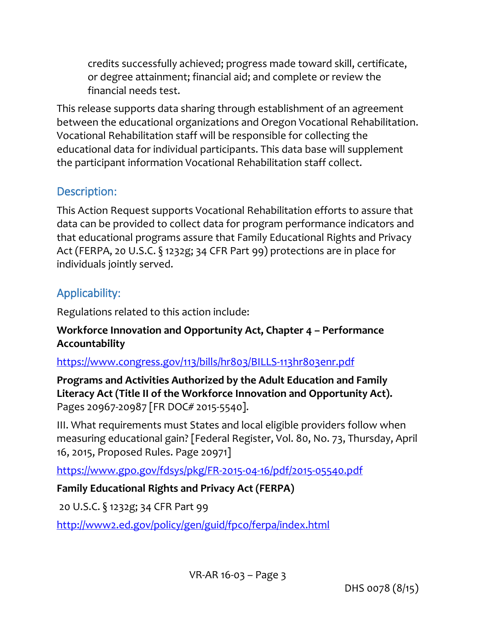credits successfully achieved; progress made toward skill, certificate, or degree attainment; financial aid; and complete or review the financial needs test.

This release supports data sharing through establishment of an agreement between the educational organizations and Oregon Vocational Rehabilitation. Vocational Rehabilitation staff will be responsible for collecting the educational data for individual participants. This data base will supplement the participant information Vocational Rehabilitation staff collect.

## Description:

This Action Request supports Vocational Rehabilitation efforts to assure that data can be provided to collect data for program performance indicators and that educational programs assure that Family Educational Rights and Privacy Act (FERPA, 20 U.S.C. § 1232g; 34 CFR Part 99) protections are in place for individuals jointly served.

# Applicability:

Regulations related to this action include:

### **Workforce Innovation and Opportunity Act, Chapter 4 – Performance Accountability**

### <https://www.congress.gov/113/bills/hr803/BILLS-113hr803enr.pdf>

**[Programs and Activities Authorized by the Adult Education and Family](https://www.doleta.gov/leave-doleta.cfm?target=www.gpo.gov/fdsys/pkg/FR-2015-04-16/pdf/2015-05540.pdf)  [Literacy Act](https://www.doleta.gov/leave-doleta.cfm?target=www.gpo.gov/fdsys/pkg/FR-2015-04-16/pdf/2015-05540.pdf) (Title II of the Workforce Innovation and Opportunity Act).**  Pages 20967-20987 [FR DOC# 2015-5540].

III. What requirements must States and local eligible providers follow when measuring educational gain? [Federal Register, Vol. 80, No. 73, Thursday, April 16, 2015, Proposed Rules. Page 20971]

<https://www.gpo.gov/fdsys/pkg/FR-2015-04-16/pdf/2015-05540.pdf>

## **Family Educational Rights and Privacy Act (FERPA)**

20 U.S.C. § 1232g; 34 CFR Part 99

<http://www2.ed.gov/policy/gen/guid/fpco/ferpa/index.html>